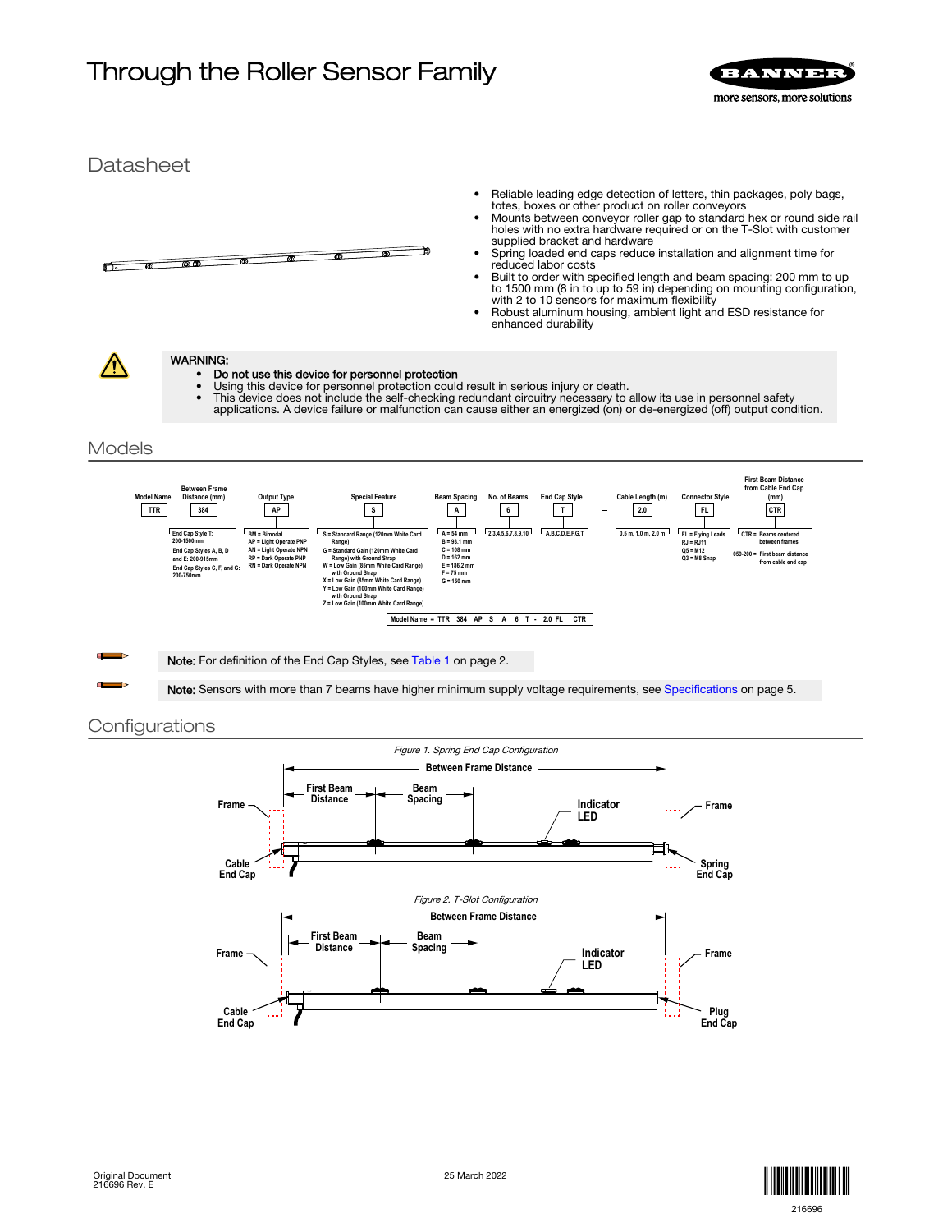# Through the Roller Sensor Family **SERVICE REPARTMENT**







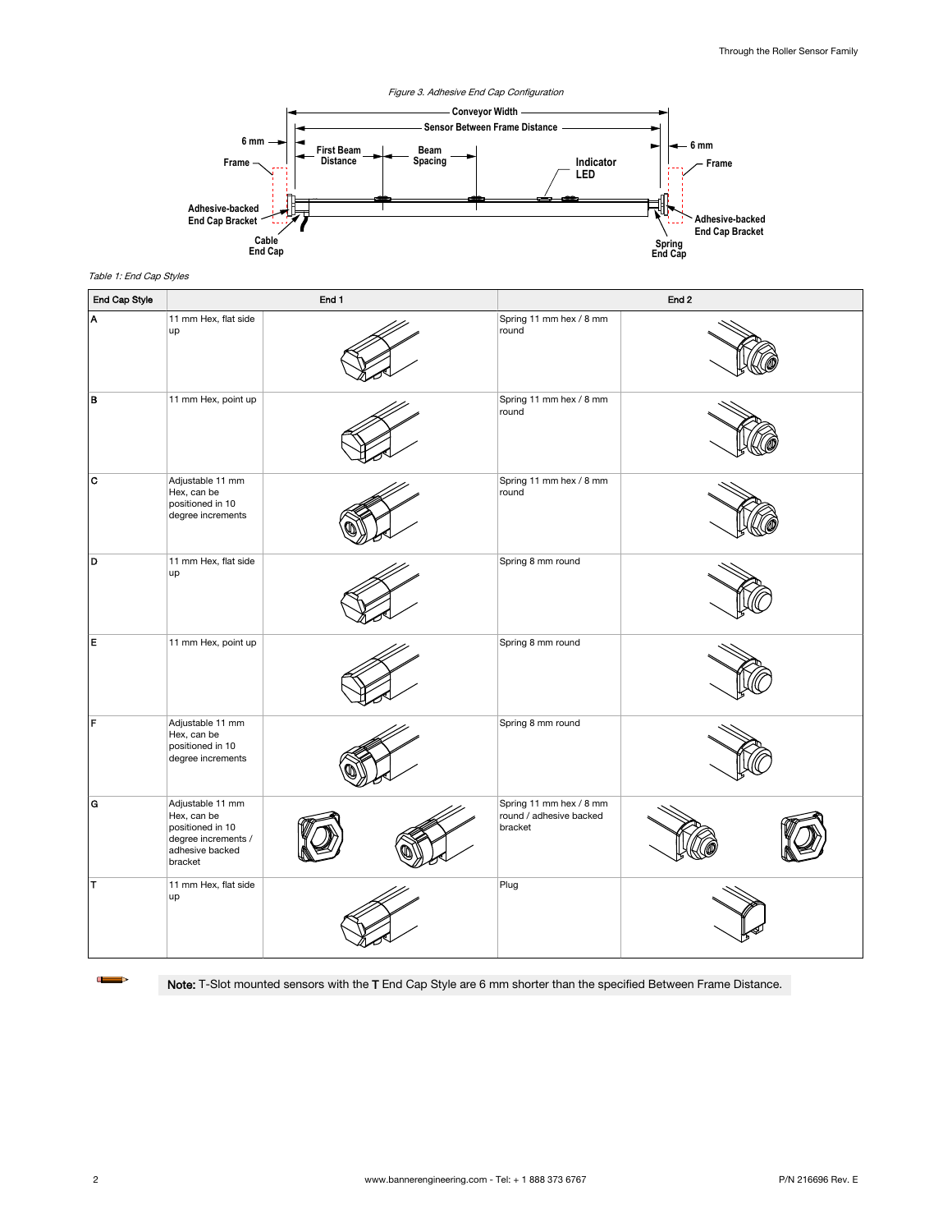<span id="page-1-0"></span>

Table 1: End Cap Styles

| End Cap Style | End 1                                                                                                    |  | End <sub>2</sub>                                              |  |
|---------------|----------------------------------------------------------------------------------------------------------|--|---------------------------------------------------------------|--|
| A             | 11 mm Hex, flat side<br>up                                                                               |  | Spring 11 mm hex / 8 mm<br>round                              |  |
| B             | 11 mm Hex, point up                                                                                      |  | Spring 11 mm hex / 8 mm<br>round                              |  |
| c             | Adjustable 11 mm<br>Hex, can be<br>positioned in 10<br>degree increments                                 |  | Spring 11 mm hex / 8 mm<br>round                              |  |
| D             | 11 mm Hex, flat side<br>up                                                                               |  | Spring 8 mm round                                             |  |
| İΕ.           | 11 mm Hex, point up                                                                                      |  | Spring 8 mm round                                             |  |
| F             | Adjustable 11 mm<br>Hex, can be<br>positioned in 10<br>degree increments                                 |  | Spring 8 mm round                                             |  |
| ۱G            | Adjustable 11 mm<br>Hex, can be<br>positioned in 10<br>degree increments /<br>adhesive backed<br>bracket |  | Spring 11 mm hex / 8 mm<br>round / adhesive backed<br>bracket |  |
| İΤ            | 11 mm Hex, flat side<br>up                                                                               |  | Plug                                                          |  |

Œ  $\Rightarrow$ 

Note: T-Slot mounted sensors with the T End Cap Style are 6 mm shorter than the specified Between Frame Distance.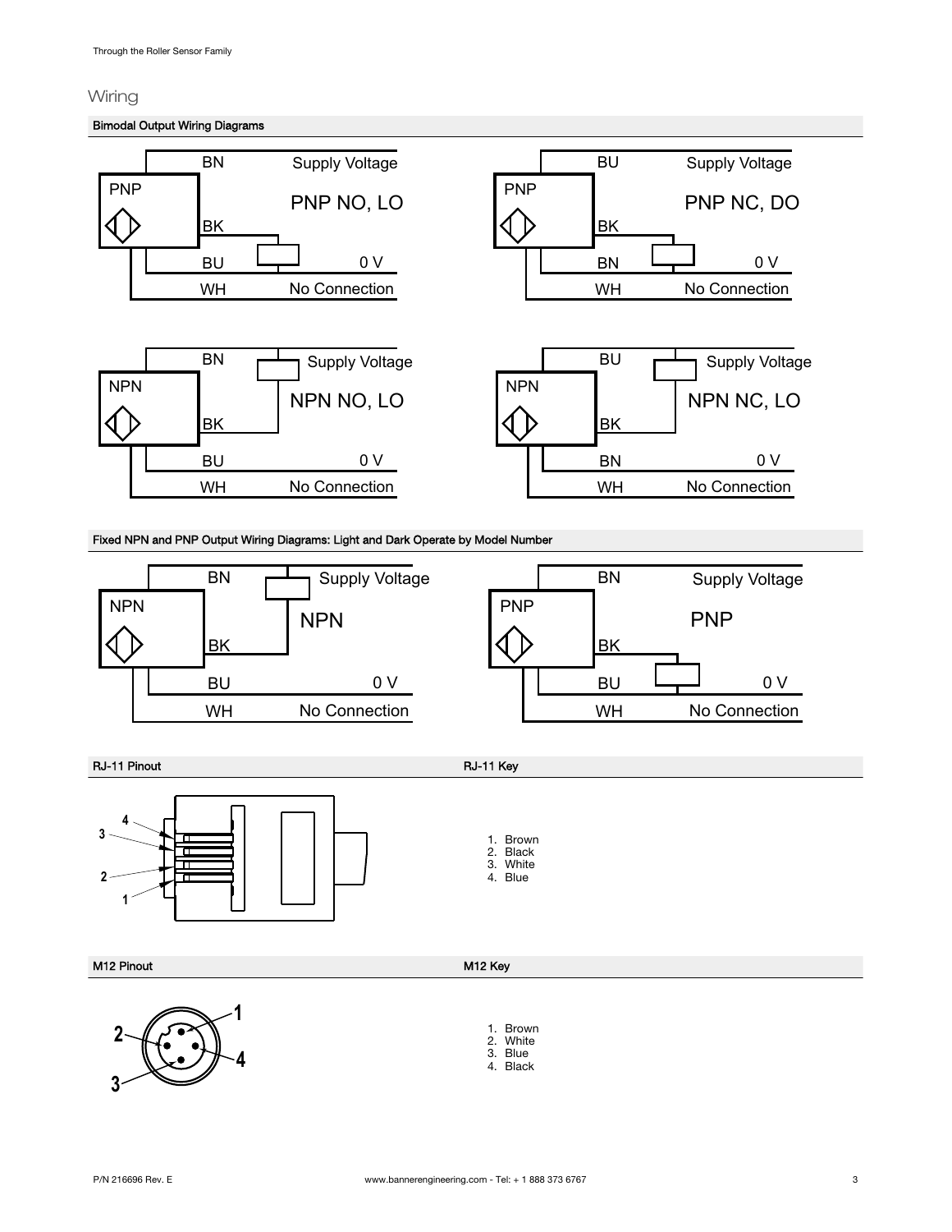## Wiring

## Bimodal Output Wiring Diagrams



RJ-11 Pinout RJ-11 Key



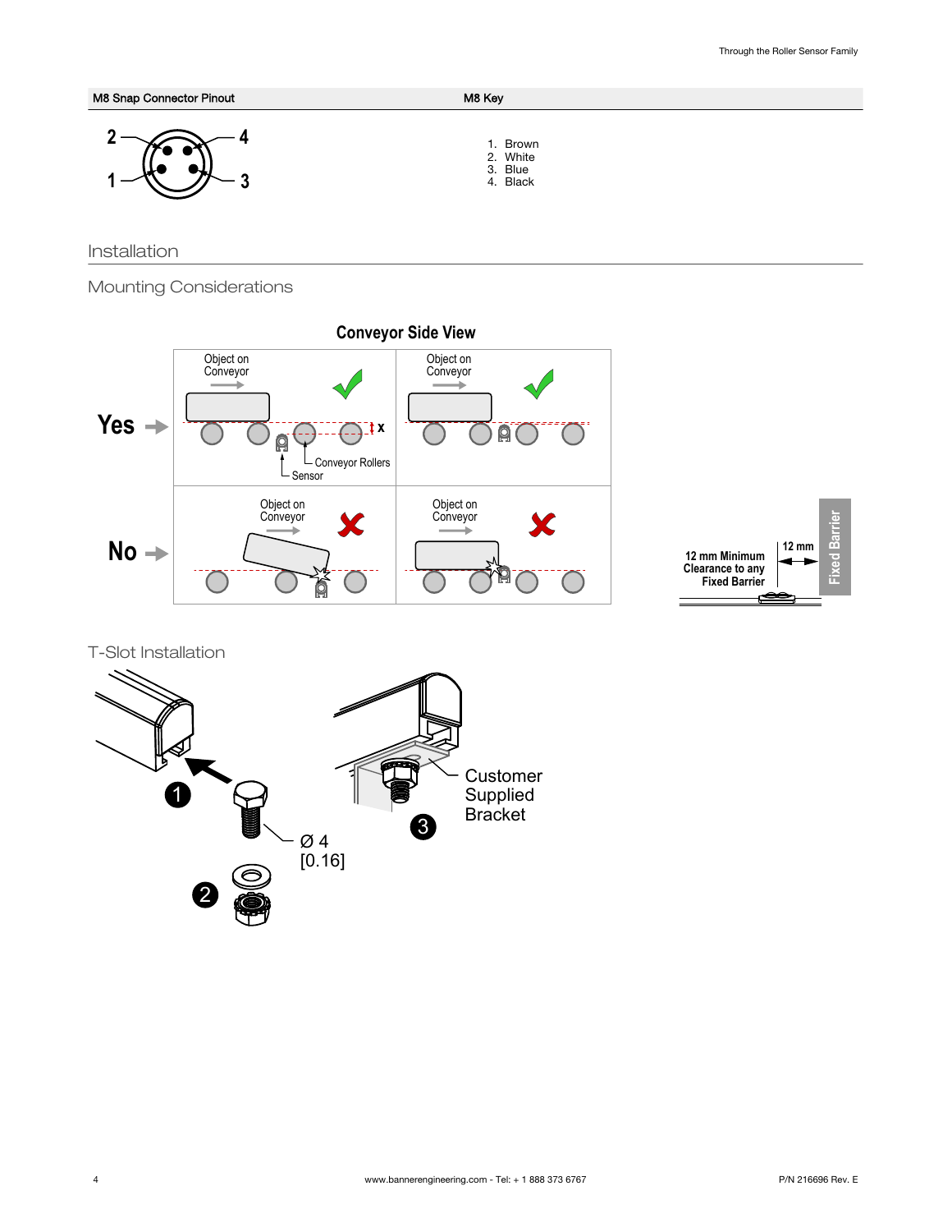M8 Snap Connector Pinout M8 Key **3 2 1 4** 1. Brown 2. White 3. Blue 4. Black

Installation

Mounting Considerations





T-Slot Installation

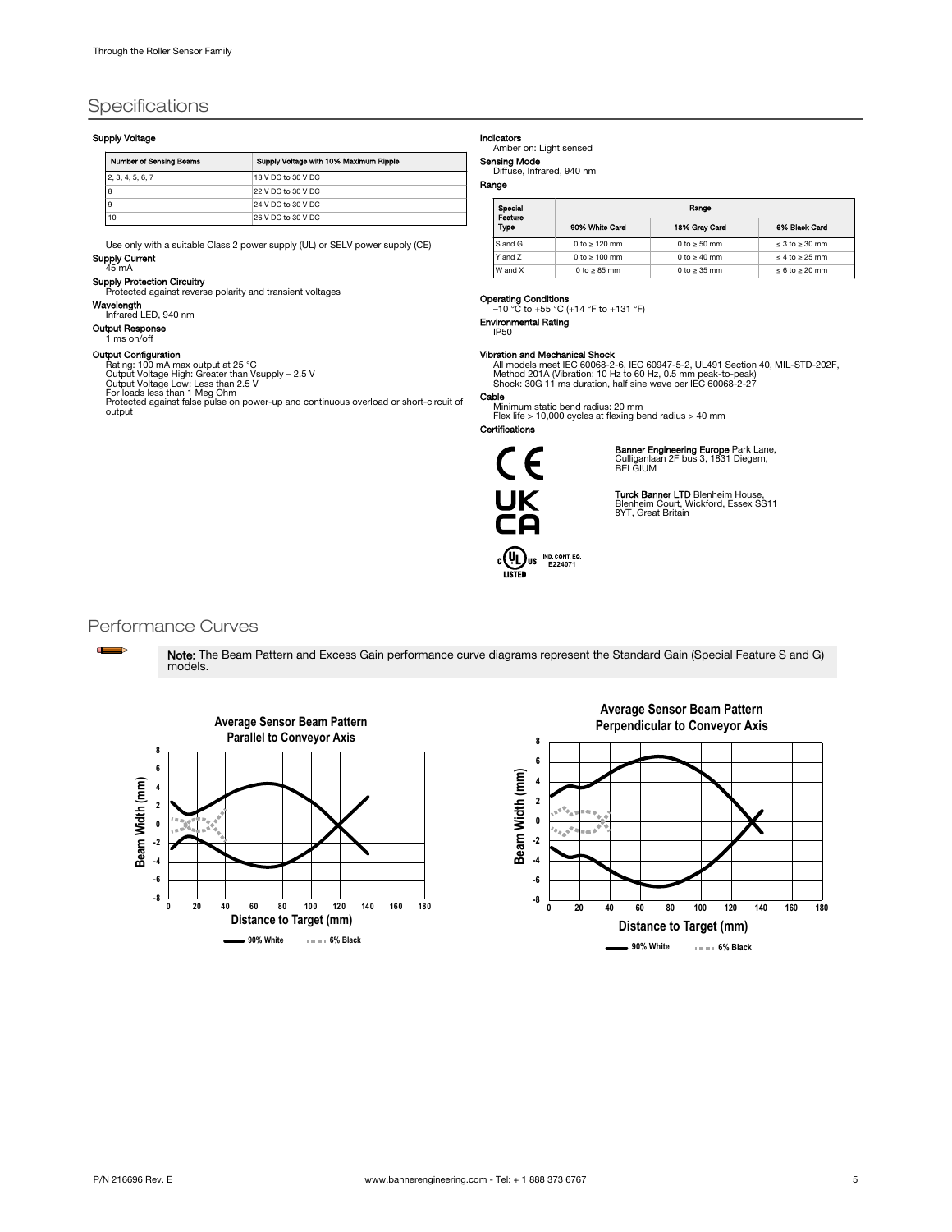## <span id="page-4-0"></span>**Specifications**

## Supply Voltage

| <b>Number of Sensing Beams</b> | Supply Voltage with 10% Maximum Ripple |
|--------------------------------|----------------------------------------|
| 2, 3, 4, 5, 6, 7               | 18 V DC to 30 V DC                     |
|                                | 22 V DC to 30 V DC                     |
|                                | 24 V DC to 30 V DC                     |
| 10                             | 26 V DC to 30 V DC                     |

Use only with a suitable Class 2 power supply (UL) or SELV power supply (CE) Supply Current

### 45 mA

Supply Protection Circuitry Protected against reverse polarity and transient voltages

Wavelength

Infrared LED, 940 nm Output Response

1 ms on/off

## Output Configuration

Rating: 100 mA max output at 25 °C<br>Output Voltage High: Greater than Vsupply – 2.5 V<br>Output Voltage Low: Less than 2.5 V<br>For loads less than 1 Meg Ohm<br>Protected against false pulse on power-up and continuous overload or sh

output

Indicators Amber on: Light sensed

Sensing Mode Diffuse, Infrared, 940 nm

## Range

| Special<br>Feature | Range              |                   |                          |  |  |
|--------------------|--------------------|-------------------|--------------------------|--|--|
| Type               | 90% White Card     | 18% Grav Card     | 6% Black Card            |  |  |
| S and G            | 0 to $\geq$ 120 mm | 0 to $\geq$ 50 mm | $\leq$ 3 to $\geq$ 30 mm |  |  |
| Y and 7            | 0 to $\geq 100$ mm | 0 to $\geq$ 40 mm | $\leq 4$ to $\geq 25$ mm |  |  |
| W and X            | 0 to $\geq$ 85 mm  | 0 to $\geq$ 35 mm | $\leq 6$ to $\geq 20$ mm |  |  |

Operating Conditions<br>
-10 °C to +55 °C (+14 °F to +131 °F) Environmental Rating

## IP50

**Vibration and Mechanical Shock**<br>All models meet IEC 60068-2-6, IEC 60947-5-2, UL491 Section 40, MIL-STD-202F,<br>Method 201A (Vibration: 10 Hz to 60 Hz, 0.5 mm peak-to-peak)<br>Shock: 30G 11 ms duration, half sine wave per IEC

## Cable

Minimum static bend radius: 20 mm Flex life > 10,000 cycles at flexing bend radius > 40 mm Certifications

# (  $\epsilon$  $\mathfrak{c}$ **UL** US IND CONT. EQ.

**Banner Engineering Europe** Park Lane,<br>Culliganlaan 2F bus 3, 1831 Diegem,<br>BELGIUM

**Turck Banner LTD** Blenheim House,<br>Blenheim Court, Wickford, Essex SS11<br>8YT, Great Britain

## Performance Curves

 $\Box$ 

Note: The Beam Pattern and Excess Gain performance curve diagrams represent the Standard Gain (Special Feature S and G) models.



## **Average Sensor Beam Pattern Perpendicular to Conveyor Axis**